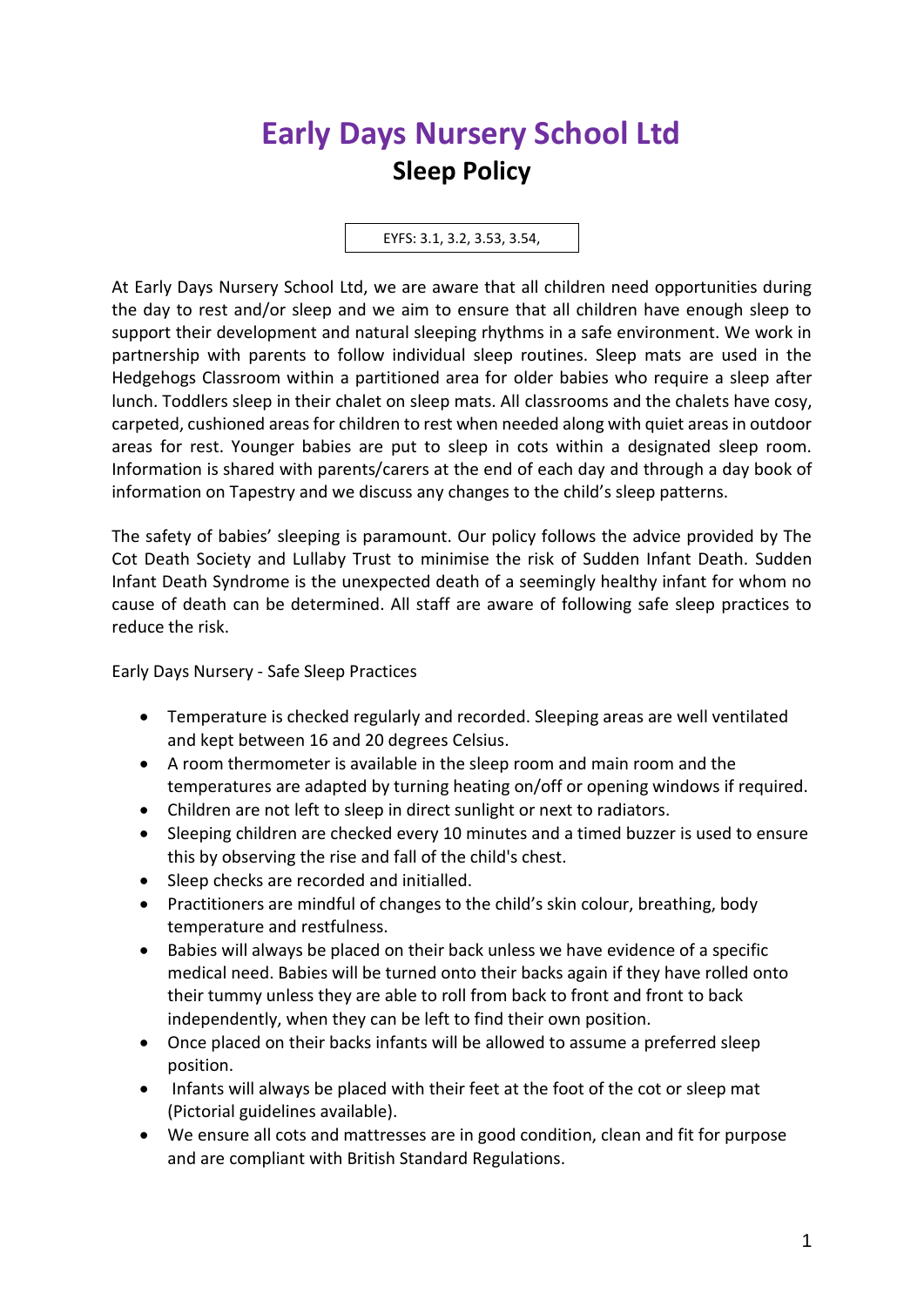## **Early Days Nursery School Ltd Sleep Policy**

EYFS: 3.1, 3.2, 3.53, 3.54,

At Early Days Nursery School Ltd, we are aware that all children need opportunities during the day to rest and/or sleep and we aim to ensure that all children have enough sleep to support their development and natural sleeping rhythms in a safe environment. We work in partnership with parents to follow individual sleep routines. Sleep mats are used in the Hedgehogs Classroom within a partitioned area for older babies who require a sleep after lunch. Toddlers sleep in their chalet on sleep mats. All classrooms and the chalets have cosy, carpeted, cushioned areas for children to rest when needed along with quiet areas in outdoor areas for rest. Younger babies are put to sleep in cots within a designated sleep room. Information is shared with parents/carers at the end of each day and through a day book of information on Tapestry and we discuss any changes to the child's sleep patterns.

The safety of babies' sleeping is paramount. Our policy follows the advice provided by The Cot Death Society and Lullaby Trust to minimise the risk of Sudden Infant Death. Sudden Infant Death Syndrome is the unexpected death of a seemingly healthy infant for whom no cause of death can be determined. All staff are aware of following safe sleep practices to reduce the risk.

Early Days Nursery - Safe Sleep Practices

- Temperature is checked regularly and recorded. Sleeping areas are well ventilated and kept between 16 and 20 degrees Celsius.
- A room thermometer is available in the sleep room and main room and the temperatures are adapted by turning heating on/off or opening windows if required.
- Children are not left to sleep in direct sunlight or next to radiators.
- Sleeping children are checked every 10 minutes and a timed buzzer is used to ensure this by observing the rise and fall of the child's chest.
- Sleep checks are recorded and initialled.
- Practitioners are mindful of changes to the child's skin colour, breathing, body temperature and restfulness.
- Babies will always be placed on their back unless we have evidence of a specific medical need. Babies will be turned onto their backs again if they have rolled onto their tummy unless they are able to roll from back to front and front to back independently, when they can be left to find their own position.
- Once placed on their backs infants will be allowed to assume a preferred sleep position.
- Infants will always be placed with their feet at the foot of the cot or sleep mat (Pictorial guidelines available).
- We ensure all cots and mattresses are in good condition, clean and fit for purpose and are compliant with British Standard Regulations.